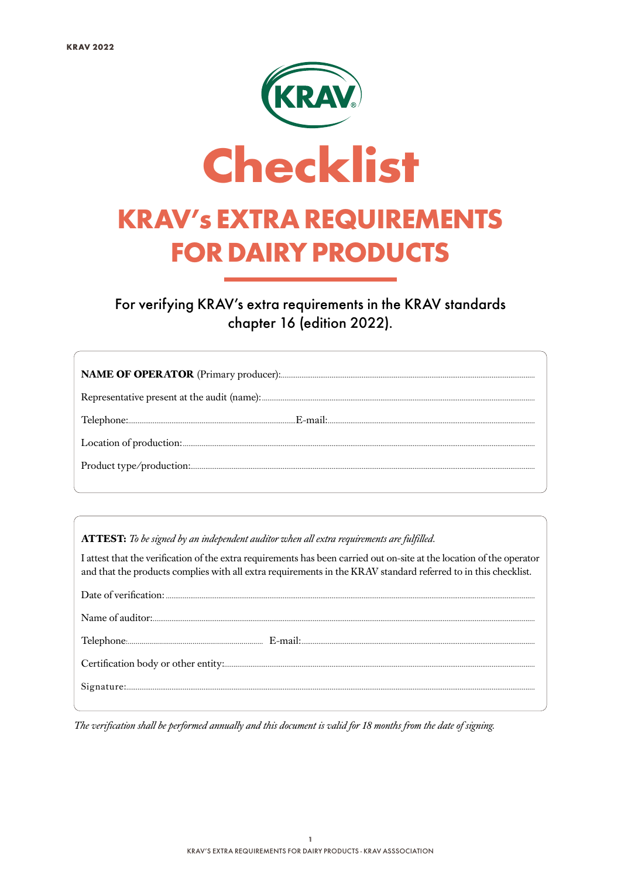

For verifying KRAV's extra requirements in the KRAV standards chapter 16 (edition 2022).

ATTEST: To be signed by an independent auditor when all extra requirements are fulfilled.

I attest that the verification of the extra requirements has been carried out on-site at the location of the operator and that the products complies with all extra requirements in the KRAV standard referred to in this checklist.

The verification shall be performed annually and this document is valid for 18 months from the date of signing.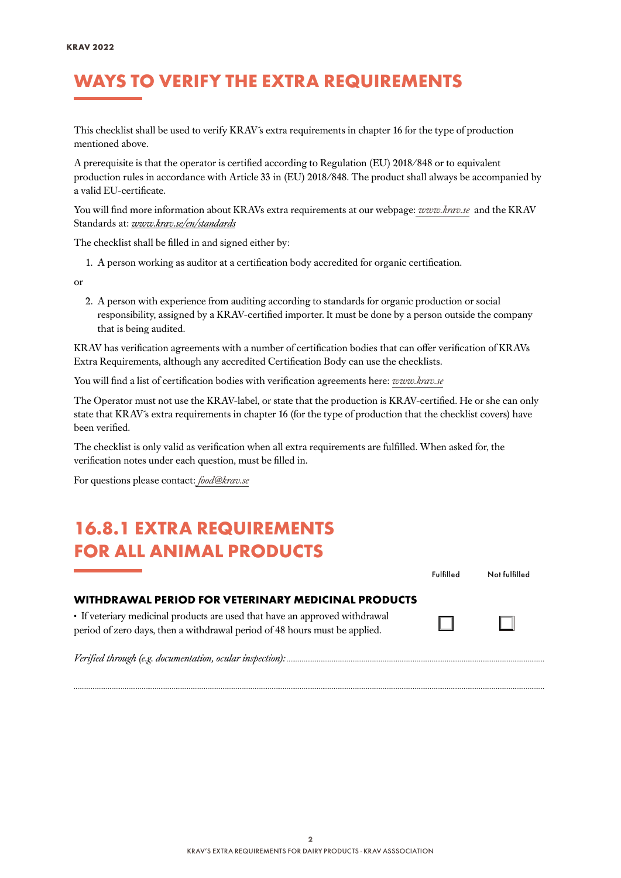#### WAYS TO VERIFY THE EXTRA REQUIREMENTS

This checklist shall be used to verify KRAV´s extra requirements in chapter 16 for the type of production mentioned above.

A prerequisite is that the operator is certified according to Regulation (EU) 2018/848 or to equivalent production rules in accordance with Article 33 in (EU) 2018/848. The product shall always be accompanied by a valid EU-certificate.

You will find more information about KRAVs extra requirements at our webpage: *[www.krav.se](www.krav.se/en/for-companies/extra-requirements-for-all-products/)* and the KRAV Standards at: *[www.krav.se/en/standards](https://www.krav.se/en/standards )*

The checklist shall be filled in and signed either by:

1. A person working as auditor at a certification body accredited for organic certification.

or

2. A person with experience from auditing according to standards for organic production or social responsibility, assigned by a KRAV-certified importer. It must be done by a person outside the company that is being audited.

KRAV has verification agreements with a number of certification bodies that can offer verification of KRAVs Extra Requirements, although any accredited Certification Body can use the checklists.

You will find a list of certification bodies with verification agreements here: *[www.krav.se](https://www.krav.se/en/asset/certification-bodies-with-verification-agreement/)*

The Operator must not use the KRAV-label, or state that the production is KRAV-certified. He or she can only state that KRAV´s extra requirements in chapter 16 (for the type of production that the checklist covers) have been verified.

The checklist is only valid as verification when all extra requirements are fulfilled. When asked for, the verification notes under each question, must be filled in.

For questions please contact: *[food@krav.se](mailto:food%40krav.se?subject=From%20extra%20requirements)*

#### 16.8.1 EXTRA REQUIREMENTS FOR ALL ANIMAL PRODUCTS

| FOK ALL ANIMAL PKODUCI S                                                                                                                                  |           |               |
|-----------------------------------------------------------------------------------------------------------------------------------------------------------|-----------|---------------|
|                                                                                                                                                           | Fulfilled | Not fulfilled |
| WITHDRAWAL PERIOD FOR VETERINARY MEDICINAL PRODUCTS                                                                                                       |           |               |
| • If veteriary medicinal products are used that have an approved withdrawal<br>period of zero days, then a withdrawal period of 48 hours must be applied. |           | LΙ            |
| $V$ <i>erified through (e.g. documentation, ocular inspection)</i>                                                                                        |           |               |

*..........................................................................................................................................................................................................................................................*

*Verified through (e.g. documentation, ocular inspection): .........................................................................................................................................*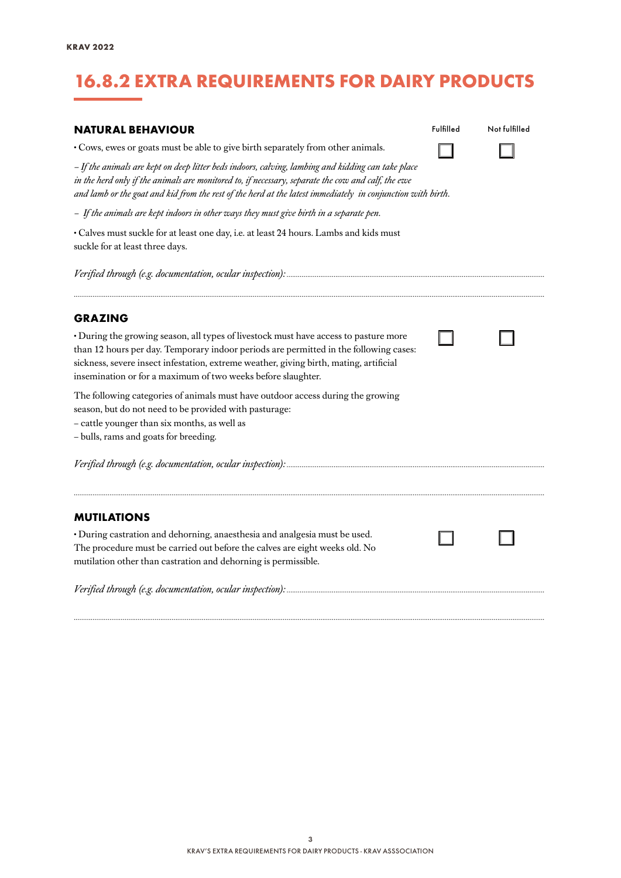# 16.8.2 EXTRA REQUIREMENTS FOR DAIRY PRODUCTS

| <b>NATURAL BEHAVIOUR</b>                                                                                                                                                                                                                                                                                                                |  | Not fulfilled |  |  |  |
|-----------------------------------------------------------------------------------------------------------------------------------------------------------------------------------------------------------------------------------------------------------------------------------------------------------------------------------------|--|---------------|--|--|--|
| • Cows, ewes or goats must be able to give birth separately from other animals.                                                                                                                                                                                                                                                         |  |               |  |  |  |
| - If the animals are kept on deep litter beds indoors, calving, lambing and kidding can take place<br>in the herd only if the animals are monitored to, if necessary, separate the cow and calf, the ewe<br>and lamb or the goat and kid from the rest of the herd at the latest immediately in conjunction with birth.                 |  |               |  |  |  |
| - If the animals are kept indoors in other ways they must give birth in a separate pen.                                                                                                                                                                                                                                                 |  |               |  |  |  |
| · Calves must suckle for at least one day, i.e. at least 24 hours. Lambs and kids must<br>suckle for at least three days.                                                                                                                                                                                                               |  |               |  |  |  |
|                                                                                                                                                                                                                                                                                                                                         |  |               |  |  |  |
| <b>GRAZING</b>                                                                                                                                                                                                                                                                                                                          |  |               |  |  |  |
| • During the growing season, all types of livestock must have access to pasture more<br>than 12 hours per day. Temporary indoor periods are permitted in the following cases:<br>sickness, severe insect infestation, extreme weather, giving birth, mating, artificial<br>insemination or for a maximum of two weeks before slaughter. |  |               |  |  |  |
| The following categories of animals must have outdoor access during the growing<br>season, but do not need to be provided with pasturage:<br>- cattle younger than six months, as well as<br>- bulls, rams and goats for breeding.                                                                                                      |  |               |  |  |  |
|                                                                                                                                                                                                                                                                                                                                         |  |               |  |  |  |
| <b>MUTILATIONS</b>                                                                                                                                                                                                                                                                                                                      |  |               |  |  |  |
| · During castration and dehorning, anaesthesia and analgesia must be used.<br>The procedure must be carried out before the calves are eight weeks old. No<br>mutilation other than castration and dehorning is permissible.                                                                                                             |  |               |  |  |  |
|                                                                                                                                                                                                                                                                                                                                         |  |               |  |  |  |
|                                                                                                                                                                                                                                                                                                                                         |  |               |  |  |  |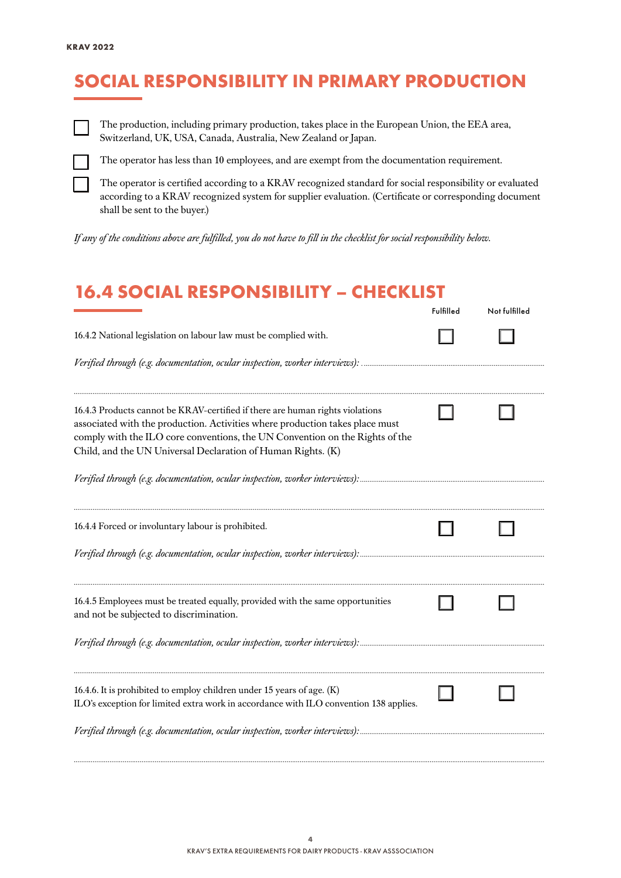### SOCIAL RESPONSIBILITY IN PRIMARY PRODUCTION



The production, including primary production, takes place in the European Union, the EEA area, Switzerland, UK, USA, Canada, Australia, New Zealand or Japan.



The operator has less than 10 employees, and are exempt from the documentation requirement.

The operator is certified according to a KRAV recognized standard for social responsibility or evaluated according to a KRAV recognized system for supplier evaluation. (Certificate or corresponding document shall be sent to the buyer.)

*If any of the conditions above are fulfilled, you do not have to fill in the checklist for social responsibility below.*

#### 16.4 SOCIAL RESPONSIBILITY – CHECKLIST

|                                                                                                                                                                                                                                                                                                               | Fulfilled | Not fulfilled |
|---------------------------------------------------------------------------------------------------------------------------------------------------------------------------------------------------------------------------------------------------------------------------------------------------------------|-----------|---------------|
| 16.4.2 National legislation on labour law must be complied with.                                                                                                                                                                                                                                              |           |               |
|                                                                                                                                                                                                                                                                                                               |           |               |
| 16.4.3 Products cannot be KRAV-certified if there are human rights violations<br>associated with the production. Activities where production takes place must<br>comply with the ILO core conventions, the UN Convention on the Rights of the<br>Child, and the UN Universal Declaration of Human Rights. (K) |           |               |
|                                                                                                                                                                                                                                                                                                               |           |               |
| 16.4.4 Forced or involuntary labour is prohibited.                                                                                                                                                                                                                                                            |           |               |
|                                                                                                                                                                                                                                                                                                               |           |               |
| 16.4.5 Employees must be treated equally, provided with the same opportunities<br>and not be subjected to discrimination.                                                                                                                                                                                     |           |               |
|                                                                                                                                                                                                                                                                                                               |           |               |
| 16.4.6. It is prohibited to employ children under 15 years of age. (K)<br>ILO's exception for limited extra work in accordance with ILO convention 138 applies.                                                                                                                                               |           |               |
| Verified through (e.g. documentation, ocular inspection, worker interviews):                                                                                                                                                                                                                                  |           |               |

*..........................................................................................................................................................................................................................................................*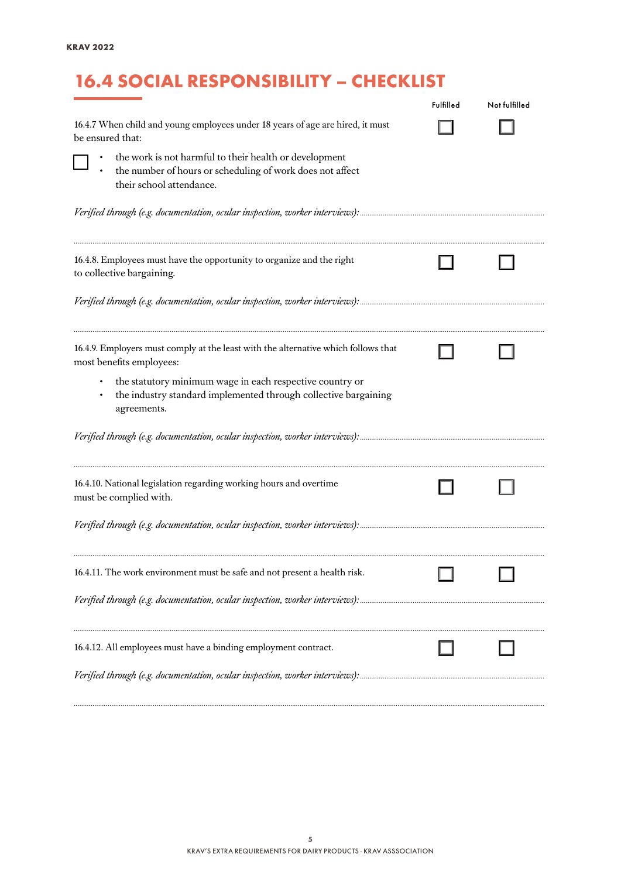## 16.4 SOCIAL RESPONSIBILITY – CHECKLIST

|                                                                                                                                                 | Fulfilled | Not fulfilled |
|-------------------------------------------------------------------------------------------------------------------------------------------------|-----------|---------------|
| 16.4.7 When child and young employees under 18 years of age are hired, it must<br>be ensured that:                                              |           |               |
| the work is not harmful to their health or development<br>the number of hours or scheduling of work does not affect<br>their school attendance. |           |               |
|                                                                                                                                                 |           |               |
| 16.4.8. Employees must have the opportunity to organize and the right<br>to collective bargaining.                                              |           |               |
|                                                                                                                                                 |           |               |
| 16.4.9. Employers must comply at the least with the alternative which follows that<br>most benefits employees:                                  |           |               |
| the statutory minimum wage in each respective country or<br>the industry standard implemented through collective bargaining<br>agreements.      |           |               |
|                                                                                                                                                 |           |               |
| 16.4.10. National legislation regarding working hours and overtime<br>must be complied with.                                                    |           |               |
|                                                                                                                                                 |           |               |
| 16.4.11. The work environment must be safe and not present a health risk.                                                                       |           |               |
|                                                                                                                                                 |           |               |
| 16.4.12. All employees must have a binding employment contract.                                                                                 |           |               |
|                                                                                                                                                 |           |               |

*..........................................................................................................................................................................................................................................................*